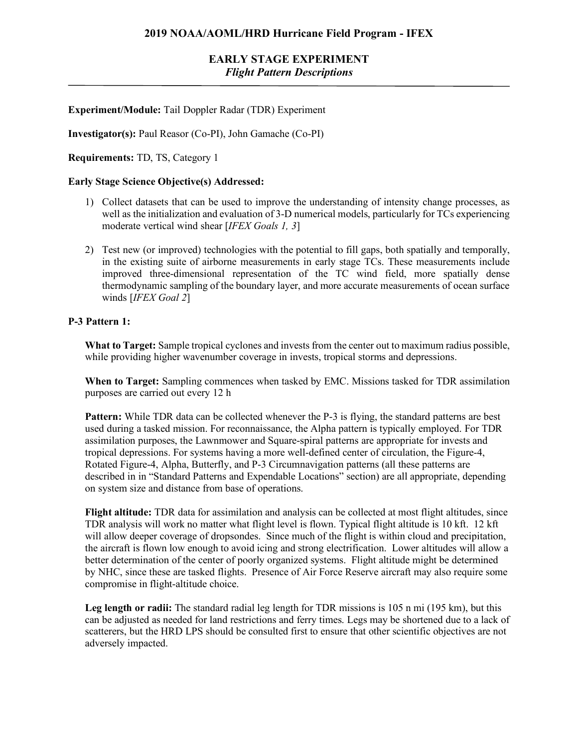## **EARLY STAGE EXPERIMENT** *Flight Pattern Descriptions*

#### **Experiment/Module:** Tail Doppler Radar (TDR) Experiment

**Investigator(s):** Paul Reasor (Co-PI), John Gamache (Co-PI)

**Requirements:** TD, TS, Category 1

#### **Early Stage Science Objective(s) Addressed:**

- 1) Collect datasets that can be used to improve the understanding of intensity change processes, as well as the initialization and evaluation of 3-D numerical models, particularly for TCs experiencing moderate vertical wind shear [*IFEX Goals 1, 3*]
- 2) Test new (or improved) technologies with the potential to fill gaps, both spatially and temporally, in the existing suite of airborne measurements in early stage TCs. These measurements include improved three-dimensional representation of the TC wind field, more spatially dense thermodynamic sampling of the boundary layer, and more accurate measurements of ocean surface winds [*IFEX Goal 2*]

#### **P-3 Pattern 1:**

**What to Target:** Sample tropical cyclones and invests from the center out to maximum radius possible, while providing higher wavenumber coverage in invests, tropical storms and depressions.

**When to Target:** Sampling commences when tasked by EMC. Missions tasked for TDR assimilation purposes are carried out every 12 h

**Pattern:** While TDR data can be collected whenever the P-3 is flying, the standard patterns are best used during a tasked mission. For reconnaissance, the Alpha pattern is typically employed. For TDR assimilation purposes, the Lawnmower and Square-spiral patterns are appropriate for invests and tropical depressions. For systems having a more well-defined center of circulation, the Figure-4, Rotated Figure-4, Alpha, Butterfly, and P-3 Circumnavigation patterns (all these patterns are described in in "Standard Patterns and Expendable Locations" section) are all appropriate, depending on system size and distance from base of operations.

**Flight altitude:** TDR data for assimilation and analysis can be collected at most flight altitudes, since TDR analysis will work no matter what flight level is flown. Typical flight altitude is 10 kft. 12 kft will allow deeper coverage of dropsondes. Since much of the flight is within cloud and precipitation, the aircraft is flown low enough to avoid icing and strong electrification. Lower altitudes will allow a better determination of the center of poorly organized systems. Flight altitude might be determined by NHC, since these are tasked flights. Presence of Air Force Reserve aircraft may also require some compromise in flight-altitude choice.

Leg length or radii: The standard radial leg length for TDR missions is 105 n mi (195 km), but this can be adjusted as needed for land restrictions and ferry times. Legs may be shortened due to a lack of scatterers, but the HRD LPS should be consulted first to ensure that other scientific objectives are not adversely impacted.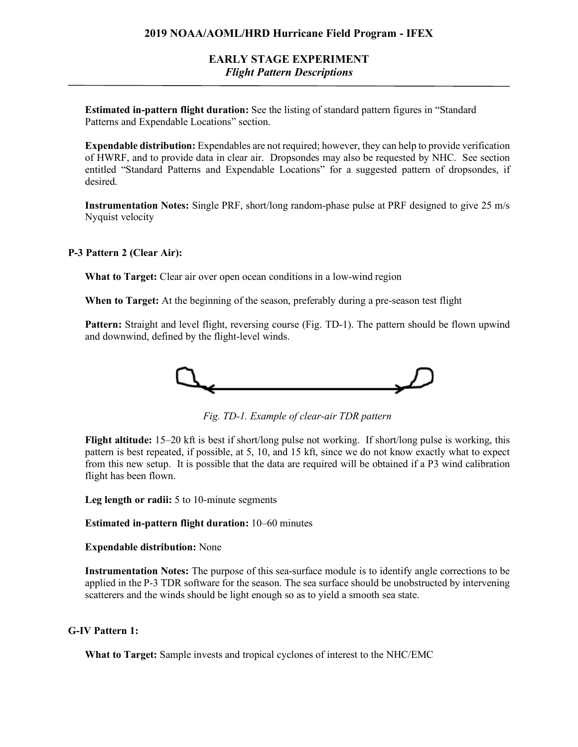## **EARLY STAGE EXPERIMENT** *Flight Pattern Descriptions*

**Estimated in-pattern flight duration:** See the listing of standard pattern figures in "Standard Patterns and Expendable Locations" section.

**Expendable distribution:** Expendables are not required; however, they can help to provide verification of HWRF, and to provide data in clear air. Dropsondes may also be requested by NHC. See section entitled "Standard Patterns and Expendable Locations" for a suggested pattern of dropsondes, if desired.

**Instrumentation Notes:** Single PRF, short/long random-phase pulse at PRF designed to give 25 m/s Nyquist velocity

#### **P-3 Pattern 2 (Clear Air):**

**What to Target:** Clear air over open ocean conditions in a low-wind region

**When to Target:** At the beginning of the season, preferably during a pre-season test flight

**Pattern:** Straight and level flight, reversing course (Fig. TD-1). The pattern should be flown upwind and downwind, defined by the flight-level winds.



*Fig. TD-1. Example of clear-air TDR pattern*

**Flight altitude:** 15–20 kft is best if short/long pulse not working. If short/long pulse is working, this pattern is best repeated, if possible, at 5, 10, and 15 kft, since we do not know exactly what to expect from this new setup. It is possible that the data are required will be obtained if a P3 wind calibration flight has been flown.

**Leg length or radii:** 5 to 10-minute segments

**Estimated in-pattern flight duration:** 10–60 minutes

**Expendable distribution:** None

**Instrumentation Notes:** The purpose of this sea-surface module is to identify angle corrections to be applied in the P-3 TDR software for the season. The sea surface should be unobstructed by intervening scatterers and the winds should be light enough so as to yield a smooth sea state.

#### **G-IV Pattern 1:**

**What to Target:** Sample invests and tropical cyclones of interest to the NHC/EMC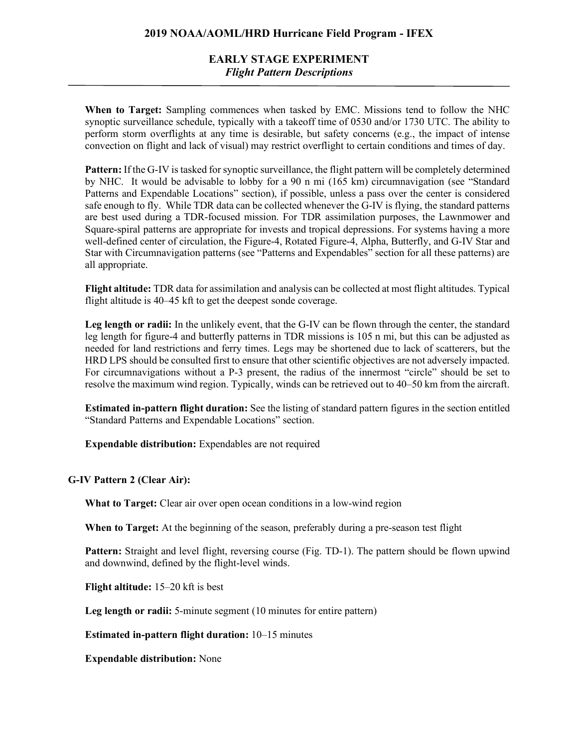### **2019 NOAA/AOML/HRD Hurricane Field Program - IFEX**

## **EARLY STAGE EXPERIMENT** *Flight Pattern Descriptions*

**When to Target:** Sampling commences when tasked by EMC. Missions tend to follow the NHC synoptic surveillance schedule, typically with a takeoff time of 0530 and/or 1730 UTC. The ability to perform storm overflights at any time is desirable, but safety concerns (e.g., the impact of intense convection on flight and lack of visual) may restrict overflight to certain conditions and times of day.

**Pattern:** If the G-IV is tasked for synoptic surveillance, the flight pattern will be completely determined by NHC. It would be advisable to lobby for a 90 n mi (165 km) circumnavigation (see "Standard Patterns and Expendable Locations" section), if possible, unless a pass over the center is considered safe enough to fly. While TDR data can be collected whenever the G-IV is flying, the standard patterns are best used during a TDR-focused mission. For TDR assimilation purposes, the Lawnmower and Square-spiral patterns are appropriate for invests and tropical depressions. For systems having a more well-defined center of circulation, the Figure-4, Rotated Figure-4, Alpha, Butterfly, and G-IV Star and Star with Circumnavigation patterns (see "Patterns and Expendables" section for all these patterns) are all appropriate.

**Flight altitude:** TDR data for assimilation and analysis can be collected at most flight altitudes. Typical flight altitude is 40–45 kft to get the deepest sonde coverage.

Leg length or radii: In the unlikely event, that the G-IV can be flown through the center, the standard leg length for figure-4 and butterfly patterns in TDR missions is 105 n mi, but this can be adjusted as needed for land restrictions and ferry times. Legs may be shortened due to lack of scatterers, but the HRD LPS should be consulted first to ensure that other scientific objectives are not adversely impacted. For circumnavigations without a P-3 present, the radius of the innermost "circle" should be set to resolve the maximum wind region. Typically, winds can be retrieved out to 40–50 km from the aircraft.

**Estimated in-pattern flight duration:** See the listing of standard pattern figures in the section entitled "Standard Patterns and Expendable Locations" section.

**Expendable distribution:** Expendables are not required

#### **G-IV Pattern 2 (Clear Air):**

**What to Target:** Clear air over open ocean conditions in a low-wind region

**When to Target:** At the beginning of the season, preferably during a pre-season test flight

**Pattern:** Straight and level flight, reversing course (Fig. TD-1). The pattern should be flown upwind and downwind, defined by the flight-level winds.

**Flight altitude:** 15–20 kft is best

**Leg length or radii:** 5-minute segment (10 minutes for entire pattern)

**Estimated in-pattern flight duration:** 10–15 minutes

**Expendable distribution:** None